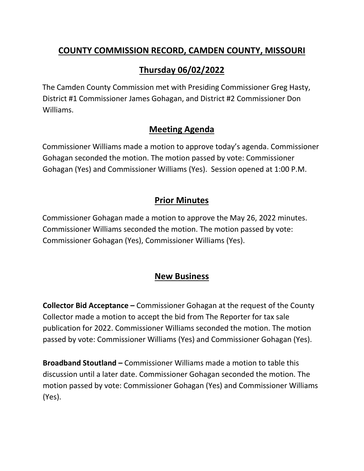### **COUNTY COMMISSION RECORD, CAMDEN COUNTY, MISSOURI**

# **Thursday 06/02/2022**

The Camden County Commission met with Presiding Commissioner Greg Hasty, District #1 Commissioner James Gohagan, and District #2 Commissioner Don Williams.

### **Meeting Agenda**

Commissioner Williams made a motion to approve today's agenda. Commissioner Gohagan seconded the motion. The motion passed by vote: Commissioner Gohagan (Yes) and Commissioner Williams (Yes). Session opened at 1:00 P.M.

## **Prior Minutes**

Commissioner Gohagan made a motion to approve the May 26, 2022 minutes. Commissioner Williams seconded the motion. The motion passed by vote: Commissioner Gohagan (Yes), Commissioner Williams (Yes).

### **New Business**

**Collector Bid Acceptance –** Commissioner Gohagan at the request of the County Collector made a motion to accept the bid from The Reporter for tax sale publication for 2022. Commissioner Williams seconded the motion. The motion passed by vote: Commissioner Williams (Yes) and Commissioner Gohagan (Yes).

**Broadband Stoutland –** Commissioner Williams made a motion to table this discussion until a later date. Commissioner Gohagan seconded the motion. The motion passed by vote: Commissioner Gohagan (Yes) and Commissioner Williams (Yes).